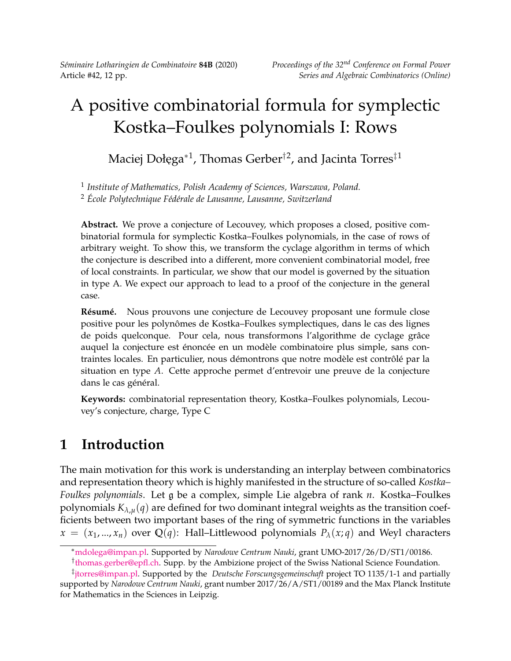*Séminaire Lotharingien de Combinatoire* **84B** (2020) *Proceedings of the 32nd Conference on Formal Power*

# A positive combinatorial formula for symplectic Kostka–Foulkes polynomials I: Rows

Maciej Dołęga\*<sup>1</sup>, Thomas Gerber<sup>†2</sup>, and Jacinta Torres<sup>‡1</sup>

1 *Institute of Mathematics, Polish Academy of Sciences, Warszawa, Poland.* <sup>2</sup> *École Polytechnique Fédérale de Lausanne, Lausanne, Switzerland*

**Abstract.** We prove a conjecture of Lecouvey, which proposes a closed, positive combinatorial formula for symplectic Kostka–Foulkes polynomials, in the case of rows of arbitrary weight. To show this, we transform the cyclage algorithm in terms of which the conjecture is described into a different, more convenient combinatorial model, free of local constraints. In particular, we show that our model is governed by the situation in type A. We expect our approach to lead to a proof of the conjecture in the general case.

**Résumé.** Nous prouvons une conjecture de Lecouvey proposant une formule close positive pour les polynômes de Kostka–Foulkes symplectiques, dans le cas des lignes de poids quelconque. Pour cela, nous transformons l'algorithme de cyclage grâce auquel la conjecture est énoncée en un modèle combinatoire plus simple, sans contraintes locales. En particulier, nous démontrons que notre modèle est contrôlé par la situation en type *A*. Cette approche permet d'entrevoir une preuve de la conjecture dans le cas général.

**Keywords:** combinatorial representation theory, Kostka–Foulkes polynomials, Lecouvey's conjecture, charge, Type C

# **1 Introduction**

The main motivation for this work is understanding an interplay between combinatorics and representation theory which is highly manifested in the structure of so-called *Kostka– Foulkes polynomials*. Let g be a complex, simple Lie algebra of rank *n*. Kostka–Foulkes polynomials  $K_{\lambda,\mu}(q)$  are defined for two dominant integral weights as the transition coefficients between two important bases of the ring of symmetric functions in the variables  $x = (x_1, ..., x_n)$  over Q(*q*): Hall–Littlewood polynomials  $P_\lambda(x; q)$  and Weyl characters

<sup>∗</sup>[mdolega@impan.pl.](mailto:mdolega@impan.pl) Supported by *Narodowe Centrum Nauki*, grant UMO-2017/26/D/ST1/00186.

<sup>&</sup>lt;sup>†</sup>[thomas.gerber@epfl.ch.](thomas.gerber@epfl.ch) Supp. by the Ambizione project of the Swiss National Science Foundation.

<sup>‡</sup> [jtorres@impan.pl.](mailto:jtorres@impan.pl) Supported by the *Deutsche Forscungsgemeinschaft* project TO 1135/1-1 and partially supported by *Narodowe Centrum Nauki*, grant number 2017/26/A/ST1/00189 and the Max Planck Institute for Mathematics in the Sciences in Leipzig.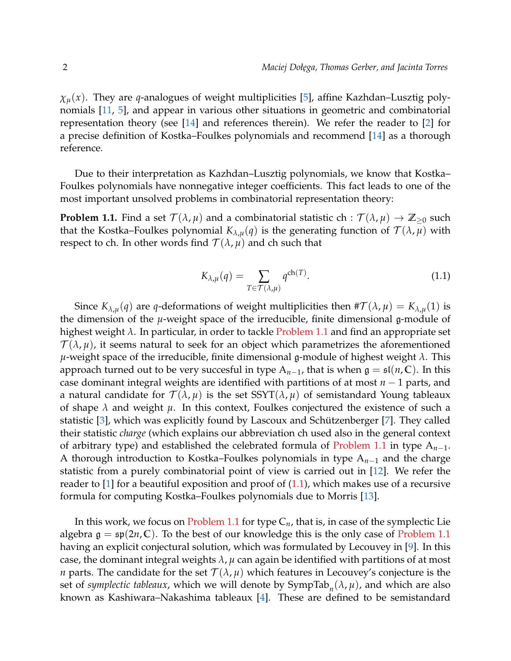*χµ*(*x*). They are *q*-analogues of weight multiplicities [\[5\]](#page-11-0), affine Kazhdan–Lusztig polynomials [\[11,](#page-11-1) [5\]](#page-11-0), and appear in various other situations in geometric and combinatorial representation theory (see [\[14\]](#page-11-2) and references therein). We refer the reader to [\[2\]](#page-11-3) for a precise definition of Kostka–Foulkes polynomials and recommend [\[14\]](#page-11-2) as a thorough reference.

Due to their interpretation as Kazhdan–Lusztig polynomials, we know that Kostka– Foulkes polynomials have nonnegative integer coefficients. This fact leads to one of the most important unsolved problems in combinatorial representation theory:

<span id="page-1-0"></span>**Problem 1.1.** Find a set  $\mathcal{T}(\lambda,\mu)$  and a combinatorial statistic ch :  $\mathcal{T}(\lambda,\mu) \to \mathbb{Z}_{\geq 0}$  such that the Kostka–Foulkes polynomial  $K_{\lambda,\mu}(q)$  is the generating function of  $\mathcal{T}(\lambda,\mu)$  with respect to ch. In other words find  $\mathcal{T}(\lambda,\mu)$  and ch such that

<span id="page-1-1"></span>
$$
K_{\lambda,\mu}(q) = \sum_{T \in \mathcal{T}(\lambda,\mu)} q^{\text{ch}(T)}.
$$
\n(1.1)

Since  $K_{\lambda,\mu}(q)$  are *q*-deformations of weight multiplicities then  $\#\mathcal{T}(\lambda,\mu) = K_{\lambda,\mu}(1)$  is the dimension of the *µ*-weight space of the irreducible, finite dimensional g-module of highest weight *λ*. In particular, in order to tackle [Problem 1.1](#page-1-0) and find an appropriate set  $\mathcal{T}(\lambda,\mu)$ , it seems natural to seek for an object which parametrizes the aforementioned *µ*-weight space of the irreducible, finite dimensional g-module of highest weight *λ*. This approach turned out to be very succesful in type  $A_{n-1}$ , that is when  $\mathfrak{g} = \mathfrak{sl}(n, \mathbb{C})$ . In this case dominant integral weights are identified with partitions of at most *n* − 1 parts, and a natural candidate for  $\mathcal{T}(\lambda,\mu)$  is the set  $SST(\lambda,\mu)$  of semistandard Young tableaux of shape  $\lambda$  and weight  $\mu$ . In this context, Foulkes conjectured the existence of such a statistic [\[3\]](#page-11-4), which was explicitly found by Lascoux and Schützenberger [\[7\]](#page-11-5). They called their statistic *charge* (which explains our abbreviation ch used also in the general context of arbitrary type) and established the celebrated formula of [Problem 1.1](#page-1-0) in type A*n*−1. A thorough introduction to Kostka–Foulkes polynomials in type A*n*−<sup>1</sup> and the charge statistic from a purely combinatorial point of view is carried out in [\[12\]](#page-11-6). We refer the reader to  $[1]$  for a beautiful exposition and proof of  $(1.1)$ , which makes use of a recursive formula for computing Kostka–Foulkes polynomials due to Morris [\[13\]](#page-11-7).

In this work, we focus on [Problem 1.1](#page-1-0) for type C*n*, that is, in case of the symplectic Lie algebra  $\mathfrak{g} = \mathfrak{sp}(2n, \mathbb{C})$ . To the best of our knowledge this is the only case of [Problem 1.1](#page-1-0) having an explicit conjectural solution, which was formulated by Lecouvey in [\[9\]](#page-11-8). In this case, the dominant integral weights  $\lambda$ ,  $\mu$  can again be identified with partitions of at most *n* parts. The candidate for the set  $\mathcal{T}(\lambda, \mu)$  which features in Lecouvey's conjecture is the set of *symplectic tableaux*, which we will denote by  $\text{SympTab}_n(\lambda, \mu)$ , and which are also known as Kashiwara–Nakashima tableaux [\[4\]](#page-11-9). These are defined to be semistandard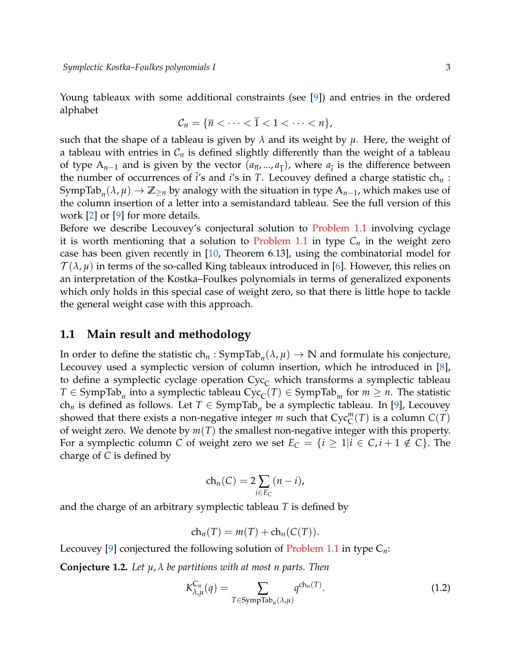Young tableaux with some additional constraints (see [\[9\]](#page-11-8)) and entries in the ordered alphabet

$$
\mathcal{C}_n = \{ \overline{n} < \cdots < \overline{1} < 1 < \cdots < n \},
$$

such that the shape of a tableau is given by  $\lambda$  and its weight by  $\mu$ . Here, the weight of a tableau with entries in  $C_n$  is defined slightly differently than the weight of a tableau of type  $A_{n-1}$  and is given by the vector  $(a_{\overline{n}},...,a_{\overline{1}})$ , where  $a_{\overline{i}}$  is the difference between the number of occurrences of  $\overline{i}$ 's and  $\overline{i}$ 's in *T*. Lecouvey defined a charge statistic ch<sub>*n*</sub>: SympTab $_n(\lambda, \mu) \to \mathbb{Z}_{\geq n}$  by analogy with the situation in type  $A_{n-1}$ , which makes use of the column insertion of a letter into a semistandard tableau. See the full version of this work [\[2\]](#page-11-3) or [\[9\]](#page-11-8) for more details.

Before we describe Lecouvey's conjectural solution to [Problem 1.1](#page-1-0) involving cyclage it is worth mentioning that a solution to [Problem 1.1](#page-1-0) in type  $C_n$  in the weight zero case has been given recently in [\[10,](#page-11-10) Theorem 6.13], using the combinatorial model for  $\mathcal{T}(\lambda,\mu)$  in terms of the so-called King tableaux introduced in [\[6\]](#page-11-11). However, this relies on an interpretation of the Kostka–Foulkes polynomials in terms of generalized exponents which only holds in this special case of weight zero, so that there is little hope to tackle the general weight case with this approach.

#### **1.1 Main result and methodology**

In order to define the statistic  $ch_n : SympTab_n(\lambda, \mu) \to \mathbb{N}$  and formulate his conjecture, Lecouvey used a symplectic version of column insertion, which he introduced in [\[8\]](#page-11-12), to define a symplectic cyclage operation  $Cyc<sub>C</sub>$  which transforms a symplectic tableau  $T \in \text{SympTab}_n$  into a symplectic tableau  $\text{Cyc}_{\text{C}}(T) \in \text{SympTab}_m$  for  $m \geq n$ . The statistic ch<sub>n</sub> is defined as follows. Let  $T \in \text{SympTab}_n$  be a symplectic tableau. In [\[9\]](#page-11-8), Lecouvey showed that there exists a non-negative integer  $m$  such that  $Cyc_C^m(T)$  is a column  $C(T)$ of weight zero. We denote by *m*(*T*) the smallest non-negative integer with this property. For a symplectic column *C* of weight zero we set  $E_C = \{i \geq 1 | i \in C, i+1 \notin C\}$ . The charge of *C* is defined by

$$
ch_n(C) = 2\sum_{i \in E_C} (n-i),
$$

and the charge of an arbitrary symplectic tableau *T* is defined by

$$
ch_n(T) = m(T) + ch_n(C(T)).
$$

Lecouvey [\[9\]](#page-11-8) conjectured the following solution of [Problem 1.1](#page-1-0) in type C*n*:

<span id="page-2-0"></span>**Conjecture 1.2.** *Let µ*, *λ be partitions with at most n parts. Then*

$$
K_{\lambda,\mu}^{C_n}(q) = \sum_{T \in \text{SympTab}_n(\lambda,\mu)} q^{\text{ch}_n(T)}.
$$
\n(1.2)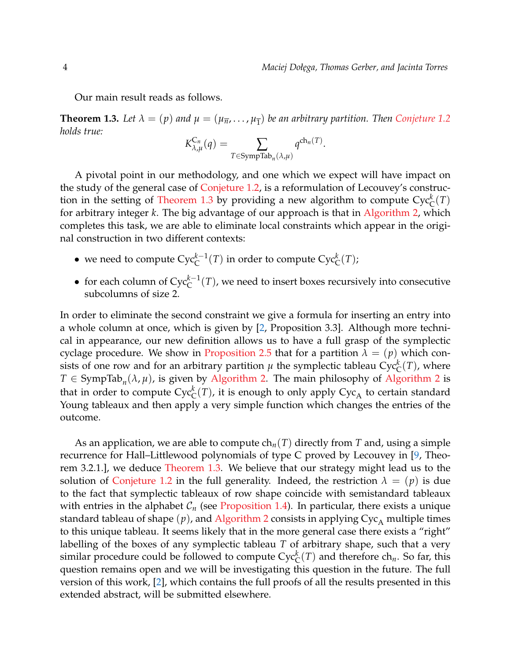Our main result reads as follows.

<span id="page-3-0"></span>**Theorem 1.3.** Let  $\lambda = (p)$  and  $\mu = (\mu_{\overline{n}}, \ldots, \mu_{\overline{1}})$  be an arbitrary partition. Then [Conjeture 1.2](#page-2-0) *holds true:*

$$
K_{\lambda,\mu}^{C_n}(q) = \sum_{T \in \text{SympTab}_n(\lambda,\mu)} q^{\text{ch}_n(T)}.
$$

A pivotal point in our methodology, and one which we expect will have impact on the study of the general case of [Conjeture 1.2,](#page-2-0) is a reformulation of Lecouvey's construc-tion in the setting of [Theorem 1.3](#page-3-0) by providing a new algorithm to compute  $\text{Cyc}_{\text{C}}^k(T)$ for arbitrary integer *k*. The big advantage of our approach is that in [Algorithm 2,](#page-7-0) which completes this task, we are able to eliminate local constraints which appear in the original construction in two different contexts:

- we need to compute  $Cyc_C^{k-1}(T)$  in order to compute  $Cyc_C^k(T)$ ;
- for each column of Cyc*k*−<sup>1</sup> C (*T*), we need to insert boxes recursively into consecutive subcolumns of size 2.

In order to eliminate the second constraint we give a formula for inserting an entry into a whole column at once, which is given by [\[2,](#page-11-3) Proposition 3.3]. Although more technical in appearance, our new definition allows us to have a full grasp of the symplectic cyclage procedure. We show in [Proposition 2.5](#page-9-0) that for a partition  $\lambda = (p)$  which consists of one row and for an arbitrary partition  $\mu$  the symplectic tableau  $\text{Cyc}_{\text{C}}^k(T)$ , where  $T \in \text{SympTab}_n(\lambda, \mu)$ , is given by [Algorithm 2.](#page-7-0) The main philosophy of [Algorithm 2](#page-7-0) is that in order to compute  $\mathrm{Cyc}^k_\mathbb{C}(T)$ , it is enough to only apply  $\mathrm{Cyc}_\mathbb{A}$  to certain standard Young tableaux and then apply a very simple function which changes the entries of the outcome.

As an application, we are able to compute ch*n*(*T*) directly from *T* and, using a simple recurrence for Hall–Littlewood polynomials of type C proved by Lecouvey in [\[9,](#page-11-8) Theorem 3.2.1.], we deduce [Theorem 1.3.](#page-3-0) We believe that our strategy might lead us to the solution of [Conjeture 1.2](#page-2-0) in the full generality. Indeed, the restriction  $\lambda = (p)$  is due to the fact that symplectic tableaux of row shape coincide with semistandard tableaux with entries in the alphabet  $C_n$  (see [Proposition 1.4\)](#page-4-0). In particular, there exists a unique standard tableau of shape  $(p)$ , and [Algorithm 2](#page-7-0) consists in applying  $Cyc_A$  multiple times to this unique tableau. It seems likely that in the more general case there exists a "right" labelling of the boxes of any symplectic tableau *T* of arbitrary shape, such that a very similar procedure could be followed to compute  $Cyc_C^k(T)$  and therefore  $ch_n$ . So far, this question remains open and we will be investigating this question in the future. The full version of this work, [\[2\]](#page-11-3), which contains the full proofs of all the results presented in this extended abstract, will be submitted elsewhere.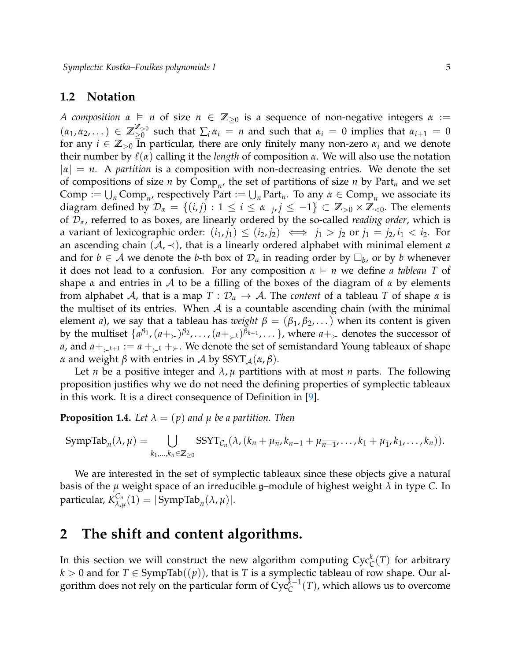#### **1.2 Notation**

*A composition*  $\alpha$  ⊨ *n* of size  $n \in \mathbb{Z}_{\geq 0}$  is a sequence of non-negative integers  $\alpha$  :=  $(\alpha_1, \alpha_2, ...) \in \mathbb{Z}_{\geq 0}^{\mathbb{Z}_{\geq 0}}$  $\sum_{i=0}^{\infty}$  such that  $\sum_{i} \alpha_i = n$  and such that  $\alpha_i = 0$  implies that  $\alpha_{i+1} = 0$ for any  $i \in \mathbb{Z}_{>0}$  In particular, there are only finitely many non-zero  $\alpha_i$  and we denote their number by  $\ell(\alpha)$  calling it the *length* of composition  $\alpha$ . We will also use the notation  $|\alpha| = n$ . A *partition* is a composition with non-decreasing entries. We denote the set of compositions of size *n* by Comp*<sup>n</sup>* , the set of partitions of size *n* by Part*<sup>n</sup>* and we set Comp :=  $\bigcup_n \text{Comp}_n$ , respectively Part :=  $\bigcup_n \text{Part}_n$ . To any  $\alpha \in \text{Comp}_n$  we associate its diagram defined by  $\mathcal{D}_{\alpha} = \{(i,j) : 1 \leq i \leq \alpha_{-j}, j \leq -1\} \subset \mathbb{Z}_{>0} \times \mathbb{Z}_{<0}$ . The elements of D*α*, referred to as boxes, are linearly ordered by the so-called *reading order*, which is a variant of lexicographic order:  $(i_1, j_1) \leq (i_2, j_2) \iff j_1 > j_2$  or  $j_1 = j_2, i_1 < i_2$ . For an ascending chain  $(A, \prec)$ , that is a linearly ordered alphabet with minimal element *a* and for  $b \in \mathcal{A}$  we denote the *b*-th box of  $\mathcal{D}_{\alpha}$  in reading order by  $\square_b$ , or by *b* whenever it does not lead to a confusion. For any composition *α n* we define *a tableau T* of shape *α* and entries in A to be a filling of the boxes of the diagram of *α* by elements from alphabet A, that is a map  $T: \mathcal{D}_\alpha \to \mathcal{A}$ . The *content* of a tableau T of shape  $\alpha$  is the multiset of its entries. When A is a countable ascending chain (with the minimal element *a*), we say that a tableau has *weight*  $\beta = (\beta_1, \beta_2, ...)$  when its content is given by the multiset  $\{a^{\beta_1},(a+_{\succ})^{\beta_2},\ldots,(a+_{\succ^k})^{\beta_{k+1}},\ldots\}$ , where  $a+_{\succ}$  denotes the successor of *a*, and  $a + k$ <sub>k+1</sub> :=  $a + k$ <sub>k</sub> +  $k$ . We denote the set of semistandard Young tableaux of shape *α* and weight *β* with entries in *A* by  $SSYT_A(\alpha, \beta)$ .

Let *n* be a positive integer and  $\lambda$ ,  $\mu$  partitions with at most *n* parts. The following proposition justifies why we do not need the defining properties of symplectic tableaux in this work. It is a direct consequence of Definition in [\[9\]](#page-11-8).

<span id="page-4-0"></span>**Proposition 1.4.** Let  $\lambda = (p)$  and  $\mu$  be a partition. Then

$$
\mathrm{SympTab}_n(\lambda,\mu)=\bigcup_{k_1,\ldots,k_n\in\mathbb{Z}_{\geq 0}}\mathrm{SSYT}_{\mathcal{C}_n}(\lambda,(k_n+\mu_{\overline{n}},k_{n-1}+\mu_{\overline{n-1}},\ldots,k_1+\mu_{\overline{1}},k_1,\ldots,k_n)).
$$

We are interested in the set of symplectic tableaux since these objects give a natural basis of the  $\mu$  weight space of an irreducible g–module of highest weight  $\lambda$  in type  $C$ . In particular, *K Cn*  $\chi_{\lambda,\mu}^{C_n}(1) = |\text{SympTab}_n(\lambda,\mu)|.$ 

### **2 The shift and content algorithms.**

In this section we will construct the new algorithm computing  $\text{Cyc}_{\text{C}}^k(T)$  for arbitrary  $k > 0$  and for  $T \in \text{SympTab}((p))$ , that is *T* is a symplectic tableau of row shape. Our algorithm does not rely on the particular form of  $Cyc_C^{\overline{k}-1}(T)$ , which allows us to overcome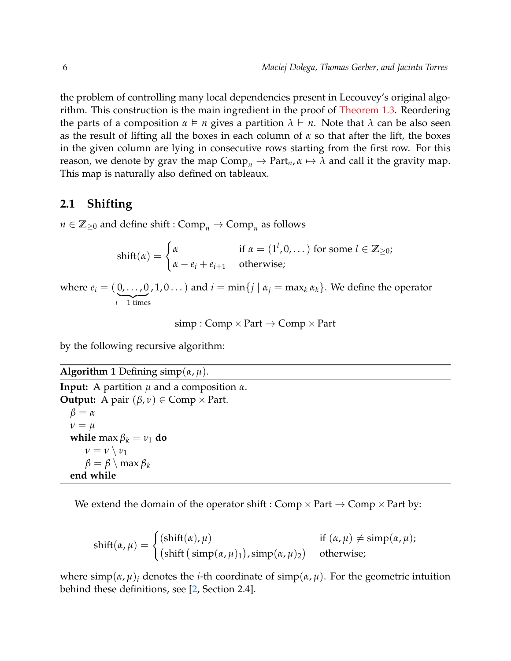the problem of controlling many local dependencies present in Lecouvey's original algorithm. This construction is the main ingredient in the proof of [Theorem 1.3.](#page-3-0) Reordering the parts of a composition  $\alpha \models n$  gives a partition  $\lambda \vdash n$ . Note that  $\lambda$  can be also seen as the result of lifting all the boxes in each column of *α* so that after the lift, the boxes in the given column are lying in consecutive rows starting from the first row. For this reason, we denote by grav the map  $Comp_n \to Part_n$ ,  $\alpha \mapsto \lambda$  and call it the gravity map. This map is naturally also defined on tableaux.

#### **2.1 Shifting**

 $n \in \mathbb{Z}_{\geq 0}$  and define shift :  $\text{Comp}_n \to \text{Comp}_n$  as follows

$$
\text{shift}(\alpha) = \begin{cases} \alpha & \text{if } \alpha = (1^l, 0, \dots) \text{ for some } l \in \mathbb{Z}_{\geq 0}; \\ \alpha - e_i + e_{i+1} & \text{otherwise}; \end{cases}
$$

where  $e_i = (0, \ldots, 0, 1, 0 \ldots)$  and  $i = \min\{j \mid \alpha_j = \max_k \alpha_k\}$ . We define the operator  $i - 1$  times

 $simp : Comp \times Part \rightarrow Comp \times Part$ 

by the following recursive algorithm:

#### **Algorithm 1** Defining simp(*α*, *µ*).

```
Input: A partition µ and a composition α.
Output: A pair (\beta, \nu) \in \text{Comp} \times \text{Part}.
   β = α
   ν = µ
   while max \beta_k = \nu_1 do
       \nu = \nu \setminus \nu_1β = β \setminus max β_kend while
```
We extend the domain of the operator shift : Comp  $\times$  Part  $\rightarrow$  Comp  $\times$  Part by:

$$
shift(\alpha, \mu) = \begin{cases} (shift(\alpha), \mu) & \text{if } (\alpha, \mu) \neq \text{simp}(\alpha, \mu); \\ (shift (simp(\alpha, \mu_1), simp(\alpha, \mu_2)) & otherwise; \end{cases}
$$

where  $\text{simp}(\alpha, \mu)_i$  denotes the *i*-th coordinate of  $\text{simp}(\alpha, \mu)$ . For the geometric intuition behind these definitions, see [\[2,](#page-11-3) Section 2.4].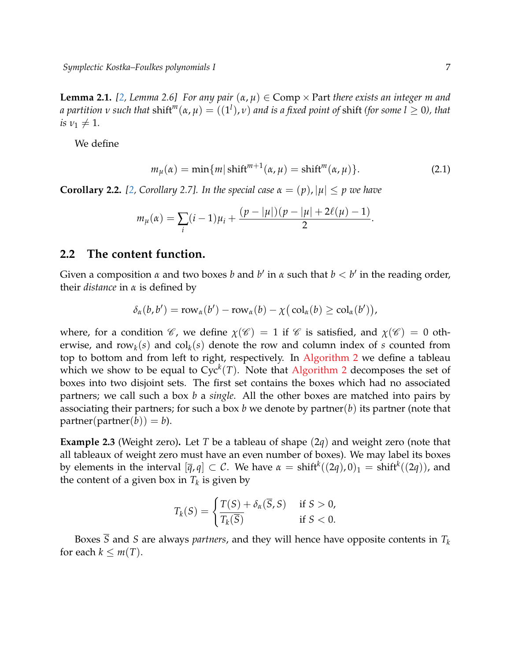**Lemma 2.1.** [\[2,](#page-11-3) Lemma 2.6] For any pair  $(\alpha, \mu) \in \text{Comp} \times \text{Part}$  there exists an integer m and *a partition*  $\nu$  *such that*  $\text{shift}^m(\alpha,\mu) = ((1^l),\nu)$  *and is a fixed point of*  $\text{shift}$  *(for some*  $l\geq 0$ *), that*  $i s \nu_1 \neq 1$ .

<span id="page-6-0"></span>We define

$$
m_{\mu}(\alpha) = \min\{m|\text{shift}^{m+1}(\alpha,\mu) = \text{shift}^{m}(\alpha,\mu)\}.
$$
 (2.1)

<span id="page-6-1"></span>**Corollary 2.2.** [\[2,](#page-11-3) Corollary 2.7]. In the special case  $\alpha = (p)$ ,  $|\mu| \leq p$  we have

$$
m_{\mu}(\alpha) = \sum_{i} (i-1)\mu_{i} + \frac{(p-|\mu|)(p-|\mu|+2\ell(\mu)-1)}{2}.
$$

#### **2.2 The content function.**

Given a composition *α* and two boxes *b* and  $b'$  in *α* such that  $b < b'$  in the reading order, their *distance* in *α* is defined by

$$
\delta_{\alpha}(b,b') = \mathrm{row}_{\alpha}(b') - \mathrm{row}_{\alpha}(b) - \chi(\mathrm{col}_{\alpha}(b) \geq \mathrm{col}_{\alpha}(b')),
$$

where, for a condition  $\mathscr{C}$ , we define  $\chi(\mathscr{C}) = 1$  if  $\mathscr{C}$  is satisfied, and  $\chi(\mathscr{C}) = 0$  otherwise, and  $row_k(s)$  and  $col_k(s)$  denote the row and column index of *s* counted from top to bottom and from left to right, respectively. In [Algorithm 2](#page-7-0) we define a tableau which we show to be equal to  $Cyc^k(T)$ . Note that [Algorithm 2](#page-7-0) decomposes the set of boxes into two disjoint sets. The first set contains the boxes which had no associated partners; we call such a box *b* a *single*. All the other boxes are matched into pairs by associating their partners; for such a box *b* we denote by partner(*b*) its partner (note that  $partner(partner(b)) = b$ ).

**Example 2.3** (Weight zero)**.** Let *T* be a tableau of shape (2*q*) and weight zero (note that all tableaux of weight zero must have an even number of boxes). We may label its boxes by elements in the interval  $[\bar{q}, q] \subset \mathcal{C}$ . We have  $\alpha = \text{shift}^k((2q), 0)_1 = \text{shift}^k((2q)),$  and the content of a given box in  $T_k$  is given by

$$
T_k(S) = \begin{cases} \frac{T(S) + \delta_{\alpha}(\overline{S}, S)}{\overline{T_k(\overline{S})}} & \text{if } S > 0, \\ 0 & \text{if } S < 0. \end{cases}
$$

Boxes  $\overline{S}$  and *S* are always *partners*, and they will hence have opposite contents in  $T_k$ for each  $k \leq m(T)$ .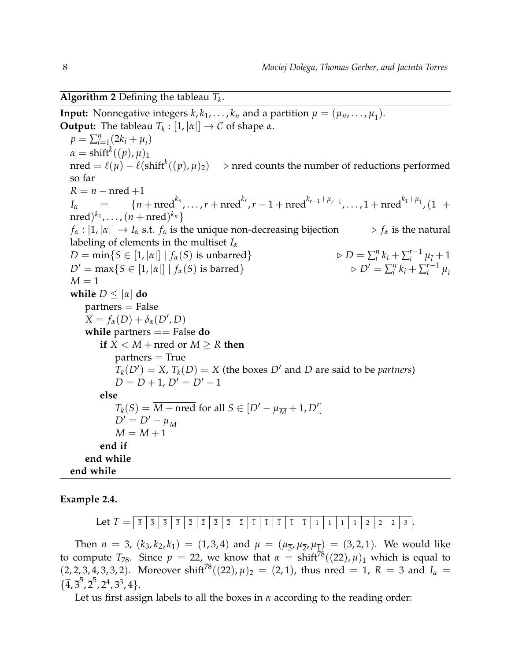<span id="page-7-0"></span>**Algorithm 2** Defining the tableau *T<sup>k</sup>* .

**Input:** Nonnegative integers  $k, k_1, \ldots, k_n$  and a partition  $\mu = (\mu_{\overline{n}}, \ldots, \mu_{\overline{1}})$ . **Output:** The tableau  $T_k : [1, |\alpha|] \to C$  of shape  $\alpha$ .  $p = \sum_{i=1}^{n} (2k_i + \mu_i)$  $\alpha = \text{shift}^k((p), \mu)_1$ nred =  $\ell(\mu) - \ell(\text{shift}^k((p),\mu)_2)$  . ⊳ nred counts the number of reductions performed so far  $R = n - n$ red +1  $I_{\alpha}$  = { $\overline{n + \text{nred}}^{k_n}, \ldots, \overline{r + \text{nred}}^{k_r}, \overline{r - 1 + \text{nred}}^{k_{r-1} + \mu_{\overline{r-1}}}, \ldots, \overline{1 + \text{nred}}^{k_1 + \mu_{\overline{1}}}, (1 + \overline{r})$  $(\text{nred})^{k_1}, \ldots, (\textit{n} + \text{nred})^{k_n}$  $f_{\alpha} : [1, |\alpha|] \rightarrow I_{\alpha}$  s.t.  $f_{\alpha}$  is the unique non-decreasing bijection  $\qquad \qquad \triangleright f_{\alpha}$  is the natural labeling of elements in the multiset *I<sup>α</sup>*  $D = \min\{S \in [1, |\alpha|] \mid f_\alpha(S)$  is unbarred} *n*  $\sum_{i}^{n} k_i + \sum_{i}^{r-1}$  $\sum_{i}^{r-1} \mu_{\bar{i}} + 1$  $D' = \max\{S \in [1, |\alpha|] \mid f_\alpha(S) \text{ is barred}\}.$ *n*  $\sum_{i}^{n} k_i + \sum_{i}^{r-1}$  $\mu_i^{-1}$   $\mu_i^{-1}$  $M=1$ **while**  $D \leq |\alpha|$  **do** partners = False  $X = f_\alpha(D) + \delta_\alpha(D', D)$ **while** partners == False **do if**  $X \leq M + \text{nred or } M \geq R$  **then**  $partners = True$  $T_k(D') = \overline{X}$ ,  $T_k(D) = X$  (the boxes *D'* and *D* are said to be *partners*)  $D = D + 1$ ,  $D' = D' - 1$ **else**  $T_k(S) = \overline{M + \text{nred}}$  for all  $S \in [D' - \mu_{\overline{M}} + 1, D']$  $D' = D' - \mu_{\overline{M}}$  $M = M + 1$ **end if end while end while**

**Example 2.4.**

Let *T* = <sup>3</sup> <sup>3</sup> <sup>3</sup> <sup>3</sup> <sup>2</sup> <sup>2</sup> <sup>2</sup> <sup>2</sup> <sup>2</sup> <sup>1</sup> <sup>1</sup> <sup>1</sup> <sup>1</sup> <sup>1</sup> <sup>1</sup> <sup>1</sup> <sup>1</sup> <sup>1</sup> <sup>2</sup> <sup>2</sup> <sup>2</sup> <sup>3</sup> .

Then  $n = 3$ ,  $(k_3, k_2, k_1) = (1, 3, 4)$  and  $\mu = (\mu_{\overline{3}}, \mu_{\overline{2}}, \mu_{\overline{1}}) = (3, 2, 1)$ . We would like to compute  $T_{78}$ . Since  $p = 22$ , we know that  $\alpha = \text{shift}^{78}((22), \mu)_1$  which is equal to  $(2, 2, 3, 4, 3, 3, 2)$ . Moreover shift<sup>78</sup> $((22), \mu)_2 = (2, 1)$ , thus nred = 1,  $R = 3$  and  $I_\alpha =$  $\{\overline{4}, \overline{3}^5, \overline{2}^5, 2^4, 3^3, 4\}.$ 

Let us first assign labels to all the boxes in *α* according to the reading order: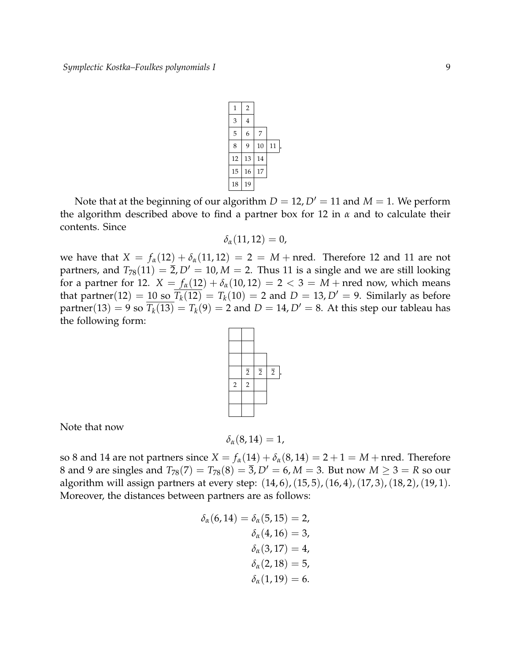

Note that at the beginning of our algorithm  $D = 12$ ,  $D' = 11$  and  $M = 1$ . We perform the algorithm described above to find a partner box for 12 in *α* and to calculate their contents. Since

$$
\delta_{\alpha}(11,12)=0,
$$

we have that  $X = f_{\alpha}(12) + \delta_{\alpha}(11, 12) = 2 = M + \text{nred}$ . Therefore 12 and 11 are not partners, and  $T_{78}(11) = \overline{2}$ ,  $D' = 10$ ,  $M = 2$ . Thus 11 is a single and we are still looking for a partner for 12.  $X = f_{\alpha}(12) + \delta_{\alpha}(10, 12) = 2 < 3 = M + \text{nred now}$ , which means that partner(12) = 10 so  $\overline{T_k(12)} = T_k(10) = 2$  and  $D = 13$ ,  $D' = 9$ . Similarly as before partner(13) = 9 so  $\overline{T_k(13)} = T_k(9) = 2$  and  $D = 14$ ,  $D' = 8$ . At this step our tableau has the following form:



.

Note that now

$$
\delta_{\alpha}(8,14)=1,
$$

so 8 and 14 are not partners since  $X = f_\alpha(14) + \delta_\alpha(8, 14) = 2 + 1 = M + \text{nred}$ . Therefore 8 and 9 are singles and  $T_{78}(7) = T_{78}(8) = \overline{3}$ ,  $D' = 6$ ,  $M = 3$ . But now  $M \ge 3 = R$  so our algorithm will assign partners at every step: (14, 6), (15, 5), (16, 4), (17, 3), (18, 2), (19, 1). Moreover, the distances between partners are as follows:

$$
\delta_{\alpha}(6, 14) = \delta_{\alpha}(5, 15) = 2, \n\delta_{\alpha}(4, 16) = 3, \n\delta_{\alpha}(3, 17) = 4, \n\delta_{\alpha}(2, 18) = 5, \n\delta_{\alpha}(1, 19) = 6.
$$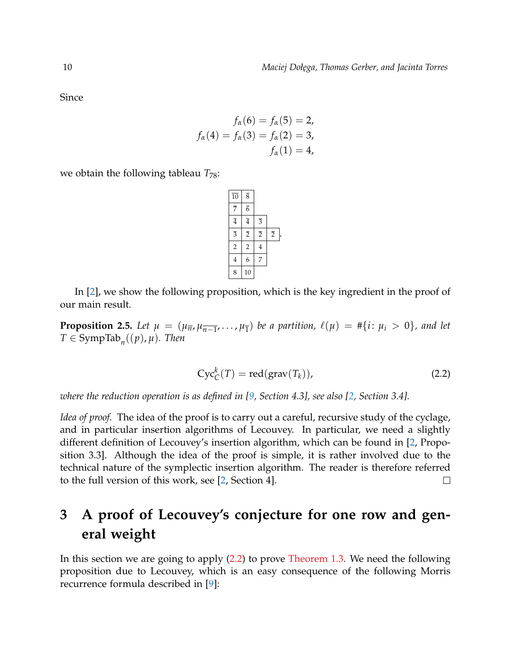Since

$$
f_{\alpha}(6) = f_{\alpha}(5) = 2,
$$
  

$$
f_{\alpha}(4) = f_{\alpha}(3) = f_{\alpha}(2) = 3,
$$
  

$$
f_{\alpha}(1) = 4,
$$

we obtain the following tableau  $T_{78}$ :

| $\overline{10}$ | $\overline{8}$ |                |                |
|-----------------|----------------|----------------|----------------|
| $\overline{7}$  | $\overline{6}$ |                |                |
| $\overline{4}$  | $\overline{4}$ | $\overline{3}$ |                |
| $\overline{3}$  | $\overline{2}$ | $\overline{2}$ | $\overline{2}$ |
| $\overline{2}$  | $\overline{2}$ | $\overline{4}$ |                |
| 4               | 6              | 7              |                |
| 8               | 10             |                |                |

In [\[2\]](#page-11-3), we show the following proposition, which is the key ingredient in the proof of our main result.

<span id="page-9-0"></span>**Proposition 2.5.** Let  $\mu = (\mu_{\overline{n}}, \mu_{\overline{n-1}}, \ldots, \mu_{\overline{1}})$  be a partition,  $\ell(\mu) = #\{i : \mu_i > 0\}$ , and let  $T \in \text{SympTab}_n((p), \mu)$ *. Then* 

<span id="page-9-1"></span>
$$
Cyc_C^k(T) = \text{red}(\text{grav}(T_k)),\tag{2.2}
$$

*where the reduction operation is as defined in [\[9,](#page-11-8) Section 4.3], see also [\[2,](#page-11-3) Section 3.4].*

*Idea of proof.* The idea of the proof is to carry out a careful, recursive study of the cyclage, and in particular insertion algorithms of Lecouvey. In particular, we need a slightly different definition of Lecouvey's insertion algorithm, which can be found in [\[2,](#page-11-3) Proposition 3.3]. Although the idea of the proof is simple, it is rather involved due to the technical nature of the symplectic insertion algorithm. The reader is therefore referred to the full version of this work, see [\[2,](#page-11-3) Section 4].  $\Box$ 

# **3 A proof of Lecouvey's conjecture for one row and general weight**

<span id="page-9-2"></span>In this section we are going to apply [\(2.2\)](#page-9-1) to prove [Theorem 1.3.](#page-3-0) We need the following proposition due to Lecouvey, which is an easy consequence of the following Morris recurrence formula described in [\[9\]](#page-11-8):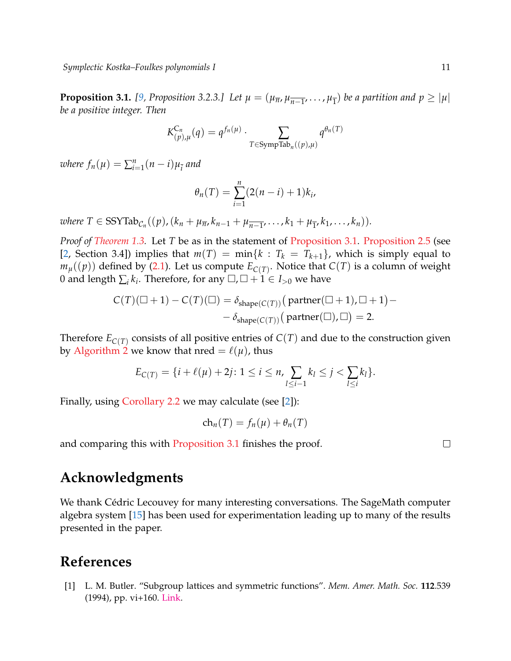**Proposition 3.1.** [\[9,](#page-11-8) Proposition 3.2.3.] Let  $\mu = (\mu_{\overline{n}}, \mu_{\overline{n-1}}, \ldots, \mu_{\overline{1}})$  be a partition and  $p \ge |\mu|$ *be a positive integer. Then*

$$
K_{(p),\mu}^{C_n}(q) = q^{f_n(\mu)} \cdot \sum_{T \in \text{SympTab}_n((p),\mu)} q^{\theta_n(T)}
$$

*where*  $f_n(\mu) = \sum_{i=1}^n (n-i)\mu_{\overline{i}}$  and

$$
\theta_n(T) = \sum_{i=1}^n (2(n-i) + 1)k_i,
$$

 $\mathsf{where} \ T \in \mathrm{SSYT}ab_{\mathcal{C}_n}((p),(k_n+\mu_{\overline{n}},k_{n-1}+\mu_{\overline{n-1}},\ldots,k_1+\mu_{\overline{1}},k_1,\ldots,k_n)).$ 

*Proof of [Theorem 1.3.](#page-3-0)* Let *T* be as in the statement of [Proposition 3.1.](#page-9-2) [Proposition 2.5](#page-9-0) (see [\[2,](#page-11-3) Section 3.4]) implies that  $m(T) = \min\{k : T_k = T_{k+1}\}\)$ , which is simply equal to  $m_{\mu}((p))$  defined by [\(2.1\)](#page-6-0). Let us compute  $E_{\mathcal{C}(T)}$ . Notice that  $\mathcal{C}(T)$  is a column of weight 0 and length  $\sum_i k_i$ . Therefore, for any  $\Box$ ,  $\Box + 1 \in I_{>0}$  we have

$$
C(T)(\Box + 1) - C(T)(\Box) = \delta_{shape(C(T))} (partner(\Box + 1), \Box + 1) -
$$

$$
- \delta_{shape(C(T))} (partner(\Box), \Box) = 2.
$$

Therefore  $E_{C(T)}$  consists of all positive entries of  $C(T)$  and due to the construction given by [Algorithm 2](#page-7-0) we know that nred  $= \ell(\mu)$ , thus

$$
E_{C(T)} = \{i + \ell(\mu) + 2j : 1 \le i \le n, \sum_{l \le i-1} k_l \le j < \sum_{l \le i} k_l\}.
$$

Finally, using [Corollary 2.2](#page-6-1) we may calculate (see [\[2\]](#page-11-3)):

$$
ch_n(T) = f_n(\mu) + \theta_n(T)
$$

and comparing this with [Proposition 3.1](#page-9-2) finishes the proof.

#### $\Box$

## **Acknowledgments**

We thank Cédric Lecouvey for many interesting conversations. The SageMath computer algebra system [\[15\]](#page-11-13) has been used for experimentation leading up to many of the results presented in the paper.

### **References**

<span id="page-10-0"></span>[1] L. M. Butler. "Subgroup lattices and symmetric functions". *Mem. Amer. Math. Soc.* **112**.539 (1994), pp. vi+160. [Link.](http://dx.doi.org/10.1090/memo/0539)